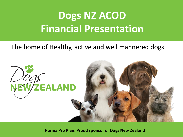# **Dogs NZ ACOD Financial Presentation**

### The home of Healthy, active and well mannered dogs



**Purina Pro Plan: Proud sponsor of Dogs New Zealand**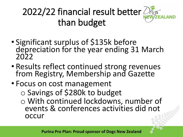# 2022/22 financial result better than budget



- Significant surplus of \$135k before depreciation for the year ending 31 March 2022
- Results reflect continued strong revenues from Registry, Membership and Gazette
- Focus on cost management o Savings of \$280k to budget o With continued lockdowns, number of events & conferences activities did not occur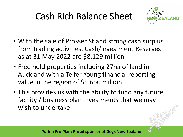## Cash Rich Balance Sheet



- With the sale of Prosser St and strong cash surplus from trading activities, Cash/Investment Reserves as at 31 May 2022 are \$8.129 million
- Free hold properties including 27ha of land in Auckland with a Telfer Young financial reporting value in the region of \$5.656 million
- This provides us with the ability to fund any future facility / business plan investments that we may wish to undertake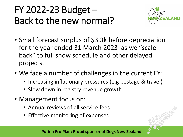### FY 2022-23 Budget – Back to the new normal?



- Small forecast surplus of \$3.3k before depreciation for the year ended 31 March 2023 as we "scale back" to full show schedule and other delayed projects.
- We face a number of challenges in the current FY:
	- Increasing inflationary pressures (e.g postage & travel)
	- Slow down in registry revenue growth
- Management focus on:
	- Annual reviews of all service fees
	- Effective monitoring of expenses



**Purina Pro Plan: Proud sponsor of Dogs New Zealand**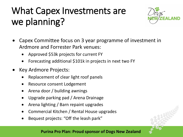### What Capex Investments are we planning?



- Capex Committee focus on 3 year programme of investment in Ardmore and Forrester Park venues:
	- Approved \$53k projects for current FY
	- Forecasting additional \$101k in projects in next two FY
- Key Ardmore Projects:
	- Replacement of clear light roof panels
	- Resource consent Lodgement
	- Arena door / building awnings
	- Upgrade parking pad / Arena Drainage
	- Arena lighting / Barn repaint upgrades
	- Commercial Kitchen / Rental House upgrades
	- Bequest projects: "Off the leash park"



#### **Purina Pro Plan: Proud sponsor of Dogs New Zealand**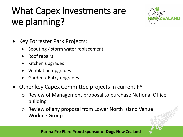### What Capex Investments are we planning?



- Key Forrester Park Projects:
	- Spouting / storm water replacement
	- Roof repairs
	- Kitchen upgrades
	- Ventilation upgrades
	- Garden / Entry upgrades
- Other key Capex Committee projects in current FY:
	- o Review of Management proposal to purchase National Office building
	- o Review of any proposal from Lower North Island Venue Working Group

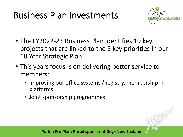### Business Plan Investments



- The FY2022-23 Business Plan identifies 19 key projects that are linked to the 5 key priorities in our 10 Year Strategic Plan
- This years focus is on delivering better service to members:
	- Improving our office systems / registry, membership IT platforms
	- Joint sponsorship programmes

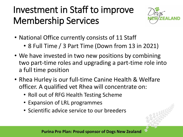### Investment in Staff to improve Membership Services



- National Office currently consists of 11 Staff
	- 8 Full Time / 3 Part Time (Down from 13 in 2021)
- We have invested in two new positions by combining two part-time roles and upgrading a part-time role into a full time position
- Rhea Hurley is our full-time Canine Health & Welfare officer. A qualified vet Rhea will concentrate on:
	- Roll out of RFG Health Testing Scheme
	- Expansion of LRL programmes
	- Scientific advice service to our breeders